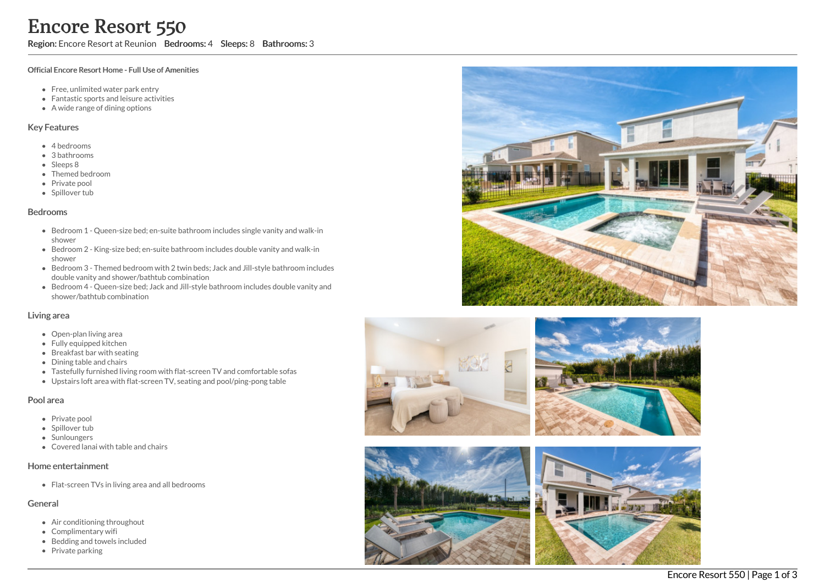Region: Encore Resort at Reunion Bedrooms: 4 Sleeps: 8 Bathrooms: 3

#### Official Encore Resort Home - Full Use of Amenities

- Free, unlimited water park entry
- Fantastic sports and leisure activities
- A wide range of dining options

### Key Features

- 4 b e d r o o m s
- 3 b a t h r o o m s
- Sleeps 8
- Themed bedroom
- Private pool
- Spillover tub

#### **Bedrooms**

- Bedroom 1 Queen-size bed; en-suite bathroom includes single vanity and walk-in s h o w e r
- Bedroom 2 King-size bed; en-suite bathroom includes double vanity and walk-in s h o w e r
- Bedroom 3 Themed bedroom with 2 twin beds; Jack and Jill-style bathroom includes double vanity and shower/bathtub combination
- Bedroom 4 Queen-size bed; Jack and Jill-style bathroom includes double vanity and shower/bathtub combination

#### Living area

- Open-plan living area
- Fully equipped kitchen
- Breakfast bar with seating
- Dining table and chairs
- Tastefully furnished living room with flat-screen TV and comfortable sofas
- Upstairs loft area with flat-screen TV, seating and pool/ping-pong table

### Pool area

- Private pool
- Spillover tub
- Sunloungers
- Covered lanai with table and chairs

### Home entertainment

Flat-screen TVs in living area and all bedrooms

## General

- Air conditioning throughout
- Complimentary wifi
- Bedding and towels included
- Private parking









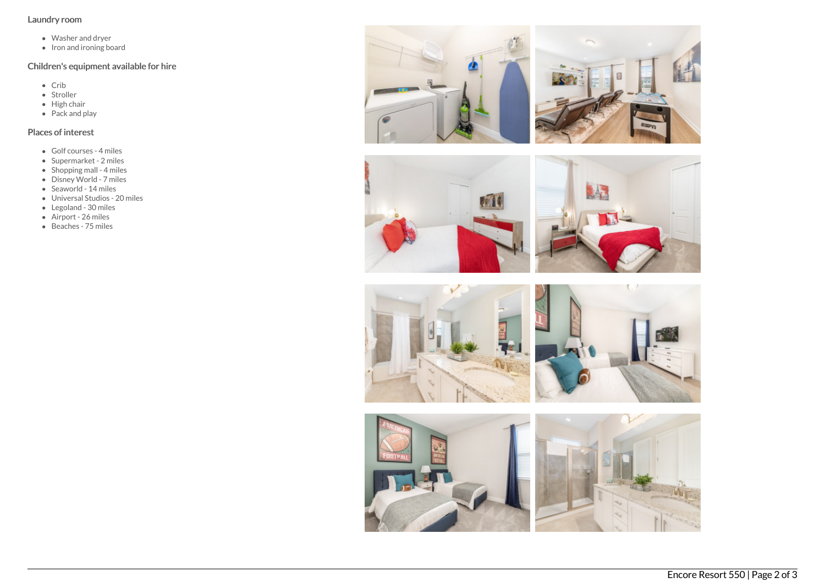## Laundry room

- Washer and dryer
- $\bullet$  Iron and ironing board

## Children's equipment available for hire

- $\bullet$  Crib
- Stroller
- High chair
- Pack and play

# Places of interest

- Golf courses 4 miles
- Supermarket 2 miles
- Shopping mall 4 miles
- Disney World 7 miles
- Seaworld 14 miles
- Universal Studios 20 miles
- Legoland 30 miles
- Airport 26 miles
- Beaches 75 miles